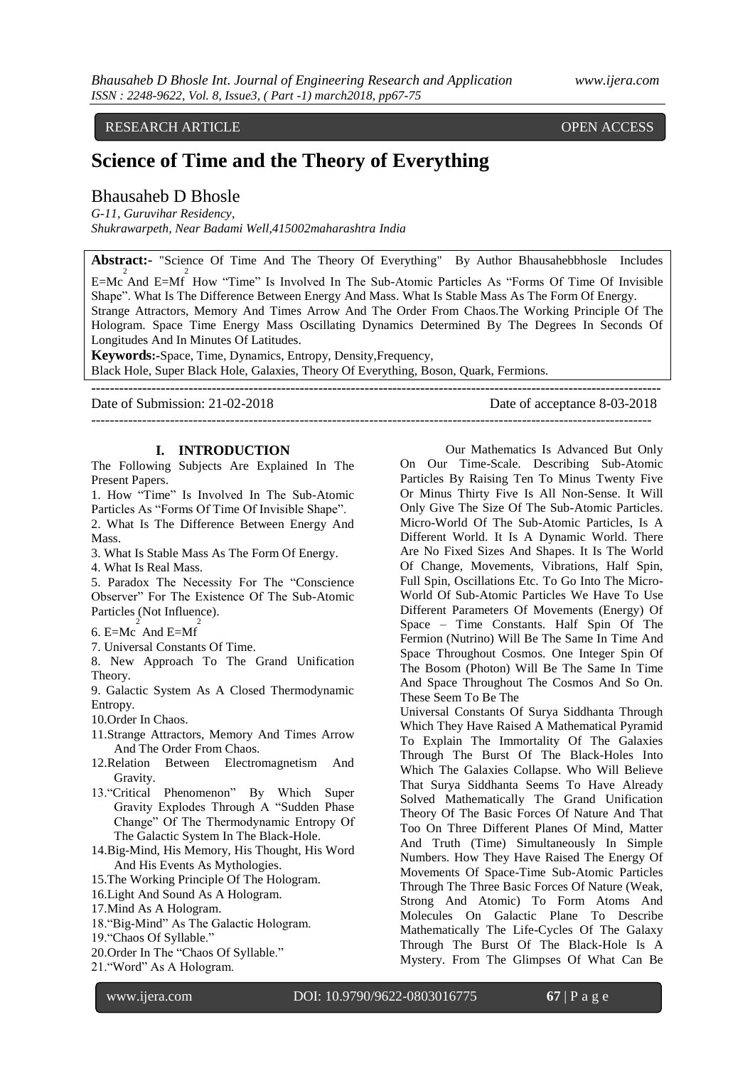# RESEARCH ARTICLE **OPEN ACCESS**

# **Science of Time and the Theory of Everything**

## Bhausaheb D Bhosle

*G-11, Guruvihar Residency, Shukrawarpeth, Near Badami Well,415002maharashtra India*

**Abstract:-** "Science Of Time And The Theory Of Everything" By Author Bhausahebbhosle Includes  $E=MC$  And  $E=MF$  How "Time" Is Involved In The Sub-Atomic Particles As "Forms Of Time Of Invisible Shape". What Is The Difference Between Energy And Mass. What Is Stable Mass As The Form Of Energy. Strange Attractors, Memory And Times Arrow And The Order From Chaos.The Working Principle Of The Hologram. Space Time Energy Mass Oscillating Dynamics Determined By The Degrees In Seconds Of Longitudes And In Minutes Of Latitudes. **Keywords:-**Space, Time, Dynamics, Entropy, Density,Frequency,

Black Hole, Super Black Hole, Galaxies, Theory Of Everything, Boson, Quark, Fermions. **---------------------------------------------------------------------------------------------------------------------------**

Date of Submission: 21-02-2018 Date of acceptance 8-03-2018

-------------------------------------------------------------------------------------------------------------------------

#### **I. INTRODUCTION**

The Following Subjects Are Explained In The Present Papers.

1. How "Time" Is Involved In The Sub-Atomic Particles As "Forms Of Time Of Invisible Shape". 2. What Is The Difference Between Energy And

Mass.

3. What Is Stable Mass As The Form Of Energy.

4. What Is Real Mass.

5. Paradox The Necessity For The "Conscience Observer" For The Existence Of The Sub-Atomic Particles (Not Influence).

- 6. E=Mc $arctan \frac{2}{\pi}$  And E=Mf<sup>2</sup>
- 7. Universal Constants Of Time.

8. New Approach To The Grand Unification Theory.

9. Galactic System As A Closed Thermodynamic Entropy.

10.Order In Chaos.

- 11.Strange Attractors, Memory And Times Arrow And The Order From Chaos.
- 12.Relation Between Electromagnetism And Gravity.
- 13."Critical Phenomenon" By Which Super Gravity Explodes Through A "Sudden Phase Change" Of The Thermodynamic Entropy Of The Galactic System In The Black-Hole.
- 14.Big-Mind, His Memory, His Thought, His Word And His Events As Mythologies.

15.The Working Principle Of The Hologram.

- 16.Light And Sound As A Hologram.
- 17.Mind As A Hologram.
- 18."Big-Mind" As The Galactic Hologram.
- 19."Chaos Of Syllable."
- 20.Order In The "Chaos Of Syllable."
- 21."Word" As A Hologram.

Our Mathematics Is Advanced But Only On Our Time-Scale. Describing Sub-Atomic Particles By Raising Ten To Minus Twenty Five Or Minus Thirty Five Is All Non-Sense. It Will Only Give The Size Of The Sub-Atomic Particles. Micro-World Of The Sub-Atomic Particles, Is A Different World. It Is A Dynamic World. There Are No Fixed Sizes And Shapes. It Is The World Of Change, Movements, Vibrations, Half Spin, Full Spin, Oscillations Etc. To Go Into The Micro-World Of Sub-Atomic Particles We Have To Use Different Parameters Of Movements (Energy) Of Space – Time Constants. Half Spin Of The Fermion (Nutrino) Will Be The Same In Time And Space Throughout Cosmos. One Integer Spin Of The Bosom (Photon) Will Be The Same In Time And Space Throughout The Cosmos And So On. These Seem To Be The

Universal Constants Of Surya Siddhanta Through Which They Have Raised A Mathematical Pyramid To Explain The Immortality Of The Galaxies Through The Burst Of The Black-Holes Into Which The Galaxies Collapse. Who Will Believe That Surya Siddhanta Seems To Have Already Solved Mathematically The Grand Unification Theory Of The Basic Forces Of Nature And That Too On Three Different Planes Of Mind, Matter And Truth (Time) Simultaneously In Simple Numbers. How They Have Raised The Energy Of Movements Of Space-Time Sub-Atomic Particles Through The Three Basic Forces Of Nature (Weak, Strong And Atomic) To Form Atoms And Molecules On Galactic Plane To Describe Mathematically The Life-Cycles Of The Galaxy Through The Burst Of The Black-Hole Is A Mystery. From The Glimpses Of What Can Be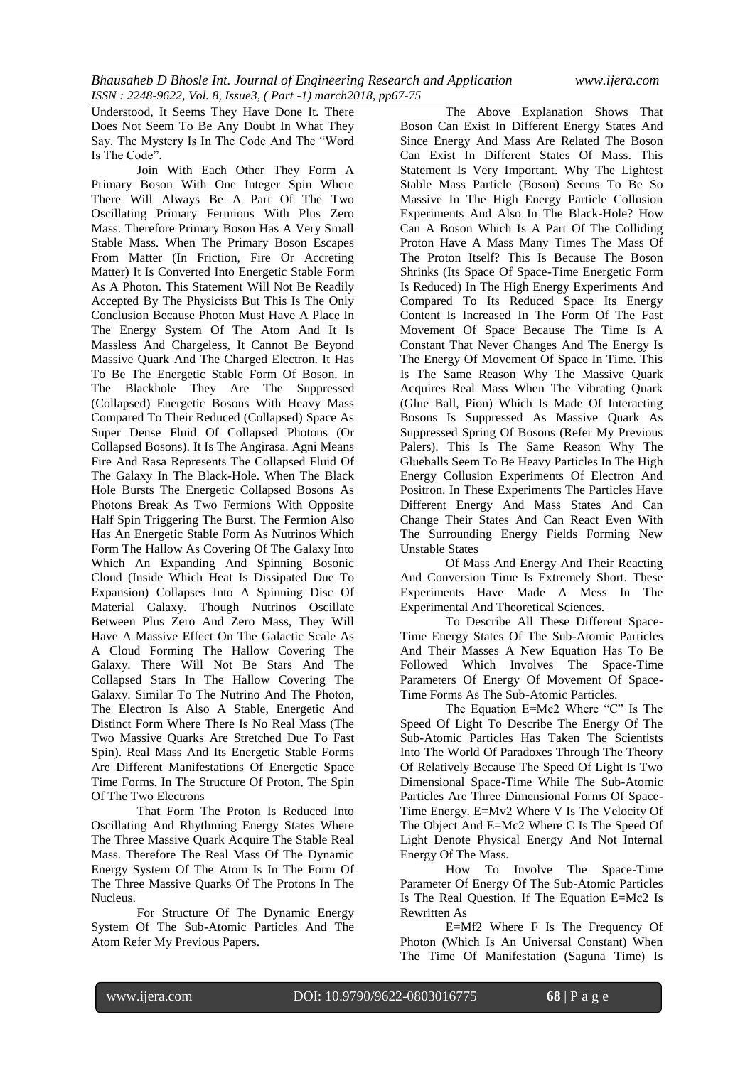Understood, It Seems They Have Done It. There Does Not Seem To Be Any Doubt In What They Say. The Mystery Is In The Code And The "Word Is The Code".

Join With Each Other They Form A Primary Boson With One Integer Spin Where There Will Always Be A Part Of The Two Oscillating Primary Fermions With Plus Zero Mass. Therefore Primary Boson Has A Very Small Stable Mass. When The Primary Boson Escapes From Matter (In Friction, Fire Or Accreting Matter) It Is Converted Into Energetic Stable Form As A Photon. This Statement Will Not Be Readily Accepted By The Physicists But This Is The Only Conclusion Because Photon Must Have A Place In The Energy System Of The Atom And It Is Massless And Chargeless, It Cannot Be Beyond Massive Quark And The Charged Electron. It Has To Be The Energetic Stable Form Of Boson. In The Blackhole They Are The Suppressed (Collapsed) Energetic Bosons With Heavy Mass Compared To Their Reduced (Collapsed) Space As Super Dense Fluid Of Collapsed Photons (Or Collapsed Bosons). It Is The Angirasa. Agni Means Fire And Rasa Represents The Collapsed Fluid Of The Galaxy In The Black-Hole. When The Black Hole Bursts The Energetic Collapsed Bosons As Photons Break As Two Fermions With Opposite Half Spin Triggering The Burst. The Fermion Also Has An Energetic Stable Form As Nutrinos Which Form The Hallow As Covering Of The Galaxy Into Which An Expanding And Spinning Bosonic Cloud (Inside Which Heat Is Dissipated Due To Expansion) Collapses Into A Spinning Disc Of Material Galaxy. Though Nutrinos Oscillate Between Plus Zero And Zero Mass, They Will Have A Massive Effect On The Galactic Scale As A Cloud Forming The Hallow Covering The Galaxy. There Will Not Be Stars And The Collapsed Stars In The Hallow Covering The Galaxy. Similar To The Nutrino And The Photon, The Electron Is Also A Stable, Energetic And Distinct Form Where There Is No Real Mass (The Two Massive Quarks Are Stretched Due To Fast Spin). Real Mass And Its Energetic Stable Forms Are Different Manifestations Of Energetic Space Time Forms. In The Structure Of Proton, The Spin Of The Two Electrons

That Form The Proton Is Reduced Into Oscillating And Rhythming Energy States Where The Three Massive Quark Acquire The Stable Real Mass. Therefore The Real Mass Of The Dynamic Energy System Of The Atom Is In The Form Of The Three Massive Quarks Of The Protons In The Nucleus.

For Structure Of The Dynamic Energy System Of The Sub-Atomic Particles And The Atom Refer My Previous Papers.

The Above Explanation Shows That Boson Can Exist In Different Energy States And Since Energy And Mass Are Related The Boson Can Exist In Different States Of Mass. This Statement Is Very Important. Why The Lightest Stable Mass Particle (Boson) Seems To Be So Massive In The High Energy Particle Collusion Experiments And Also In The Black-Hole? How Can A Boson Which Is A Part Of The Colliding Proton Have A Mass Many Times The Mass Of The Proton Itself? This Is Because The Boson Shrinks (Its Space Of Space-Time Energetic Form Is Reduced) In The High Energy Experiments And Compared To Its Reduced Space Its Energy Content Is Increased In The Form Of The Fast Movement Of Space Because The Time Is A Constant That Never Changes And The Energy Is The Energy Of Movement Of Space In Time. This Is The Same Reason Why The Massive Quark Acquires Real Mass When The Vibrating Quark (Glue Ball, Pion) Which Is Made Of Interacting Bosons Is Suppressed As Massive Quark As Suppressed Spring Of Bosons (Refer My Previous Palers). This Is The Same Reason Why The Glueballs Seem To Be Heavy Particles In The High Energy Collusion Experiments Of Electron And Positron. In These Experiments The Particles Have Different Energy And Mass States And Can Change Their States And Can React Even With The Surrounding Energy Fields Forming New Unstable States

Of Mass And Energy And Their Reacting And Conversion Time Is Extremely Short. These Experiments Have Made A Mess In The Experimental And Theoretical Sciences.

To Describe All These Different Space-Time Energy States Of The Sub-Atomic Particles And Their Masses A New Equation Has To Be Followed Which Involves The Space-Time Parameters Of Energy Of Movement Of Space-Time Forms As The Sub-Atomic Particles.

The Equation E=Mc2 Where "C" Is The Speed Of Light To Describe The Energy Of The Sub-Atomic Particles Has Taken The Scientists Into The World Of Paradoxes Through The Theory Of Relatively Because The Speed Of Light Is Two Dimensional Space-Time While The Sub-Atomic Particles Are Three Dimensional Forms Of Space-Time Energy. E=Mv2 Where V Is The Velocity Of The Object And E=Mc2 Where C Is The Speed Of Light Denote Physical Energy And Not Internal Energy Of The Mass.

How To Involve The Space-Time Parameter Of Energy Of The Sub-Atomic Particles Is The Real Question. If The Equation E=Mc2 Is Rewritten As

E=Mf2 Where F Is The Frequency Of Photon (Which Is An Universal Constant) When The Time Of Manifestation (Saguna Time) Is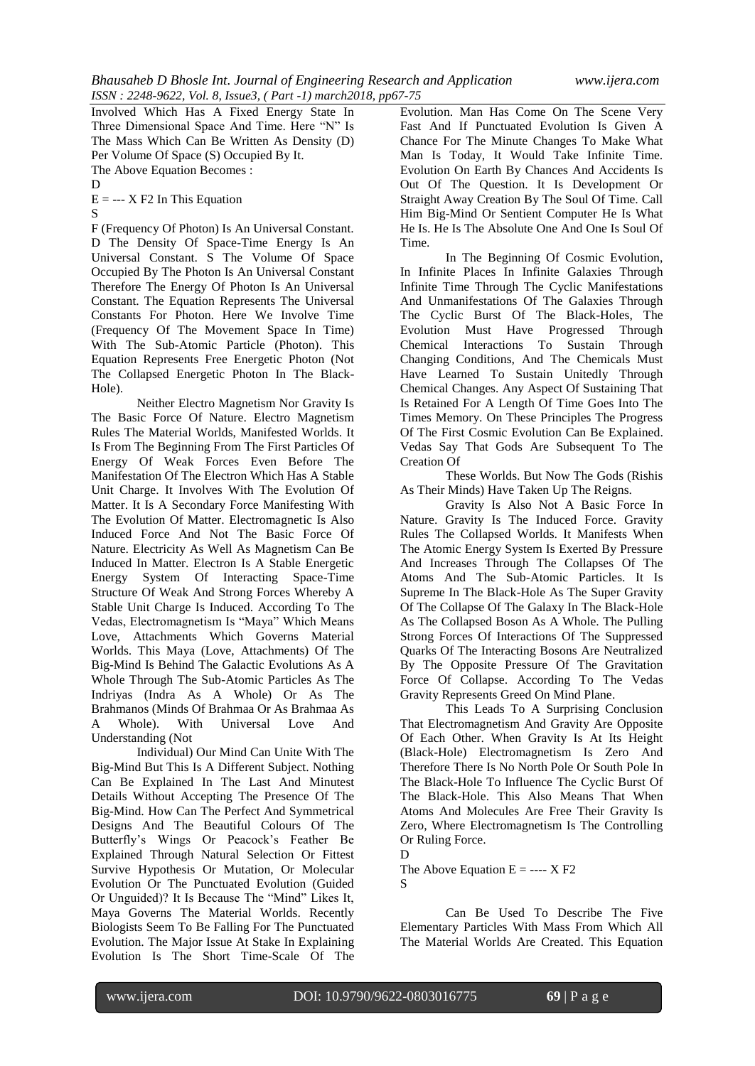Involved Which Has A Fixed Energy State In Three Dimensional Space And Time. Here "N" Is The Mass Which Can Be Written As Density (D) Per Volume Of Space (S) Occupied By It.

The Above Equation Becomes :

D

 $E = -X F2$  In This Equation

S

F (Frequency Of Photon) Is An Universal Constant. D The Density Of Space-Time Energy Is An Universal Constant. S The Volume Of Space Occupied By The Photon Is An Universal Constant Therefore The Energy Of Photon Is An Universal Constant. The Equation Represents The Universal Constants For Photon. Here We Involve Time (Frequency Of The Movement Space In Time) With The Sub-Atomic Particle (Photon). This Equation Represents Free Energetic Photon (Not The Collapsed Energetic Photon In The Black-Hole).

Neither Electro Magnetism Nor Gravity Is The Basic Force Of Nature. Electro Magnetism Rules The Material Worlds, Manifested Worlds. It Is From The Beginning From The First Particles Of Energy Of Weak Forces Even Before The Manifestation Of The Electron Which Has A Stable Unit Charge. It Involves With The Evolution Of Matter. It Is A Secondary Force Manifesting With The Evolution Of Matter. Electromagnetic Is Also Induced Force And Not The Basic Force Of Nature. Electricity As Well As Magnetism Can Be Induced In Matter. Electron Is A Stable Energetic Energy System Of Interacting Space-Time Structure Of Weak And Strong Forces Whereby A Stable Unit Charge Is Induced. According To The Vedas, Electromagnetism Is "Maya" Which Means Love, Attachments Which Governs Material Worlds. This Maya (Love, Attachments) Of The Big-Mind Is Behind The Galactic Evolutions As A Whole Through The Sub-Atomic Particles As The Indriyas (Indra As A Whole) Or As The Brahmanos (Minds Of Brahmaa Or As Brahmaa As A Whole). With Universal Love And Understanding (Not

Individual) Our Mind Can Unite With The Big-Mind But This Is A Different Subject. Nothing Can Be Explained In The Last And Minutest Details Without Accepting The Presence Of The Big-Mind. How Can The Perfect And Symmetrical Designs And The Beautiful Colours Of The Butterfly's Wings Or Peacock's Feather Be Explained Through Natural Selection Or Fittest Survive Hypothesis Or Mutation, Or Molecular Evolution Or The Punctuated Evolution (Guided Or Unguided)? It Is Because The "Mind" Likes It, Maya Governs The Material Worlds. Recently Biologists Seem To Be Falling For The Punctuated Evolution. The Major Issue At Stake In Explaining Evolution Is The Short Time-Scale Of The Evolution. Man Has Come On The Scene Very Fast And If Punctuated Evolution Is Given A Chance For The Minute Changes To Make What Man Is Today, It Would Take Infinite Time. Evolution On Earth By Chances And Accidents Is Out Of The Question. It Is Development Or Straight Away Creation By The Soul Of Time. Call Him Big-Mind Or Sentient Computer He Is What He Is. He Is The Absolute One And One Is Soul Of Time.

In The Beginning Of Cosmic Evolution, In Infinite Places In Infinite Galaxies Through Infinite Time Through The Cyclic Manifestations And Unmanifestations Of The Galaxies Through The Cyclic Burst Of The Black-Holes, The Evolution Must Have Progressed Through Chemical Interactions To Sustain Through Changing Conditions, And The Chemicals Must Have Learned To Sustain Unitedly Through Chemical Changes. Any Aspect Of Sustaining That Is Retained For A Length Of Time Goes Into The Times Memory. On These Principles The Progress Of The First Cosmic Evolution Can Be Explained. Vedas Say That Gods Are Subsequent To The Creation Of

These Worlds. But Now The Gods (Rishis As Their Minds) Have Taken Up The Reigns.

Gravity Is Also Not A Basic Force In Nature. Gravity Is The Induced Force. Gravity Rules The Collapsed Worlds. It Manifests When The Atomic Energy System Is Exerted By Pressure And Increases Through The Collapses Of The Atoms And The Sub-Atomic Particles. It Is Supreme In The Black-Hole As The Super Gravity Of The Collapse Of The Galaxy In The Black-Hole As The Collapsed Boson As A Whole. The Pulling Strong Forces Of Interactions Of The Suppressed Quarks Of The Interacting Bosons Are Neutralized By The Opposite Pressure Of The Gravitation Force Of Collapse. According To The Vedas Gravity Represents Greed On Mind Plane.

This Leads To A Surprising Conclusion That Electromagnetism And Gravity Are Opposite Of Each Other. When Gravity Is At Its Height (Black-Hole) Electromagnetism Is Zero And Therefore There Is No North Pole Or South Pole In The Black-Hole To Influence The Cyclic Burst Of The Black-Hole. This Also Means That When Atoms And Molecules Are Free Their Gravity Is Zero, Where Electromagnetism Is The Controlling Or Ruling Force.

The Above Equation  $E =$  ---- X F2 S

Can Be Used To Describe The Five Elementary Particles With Mass From Which All The Material Worlds Are Created. This Equation

D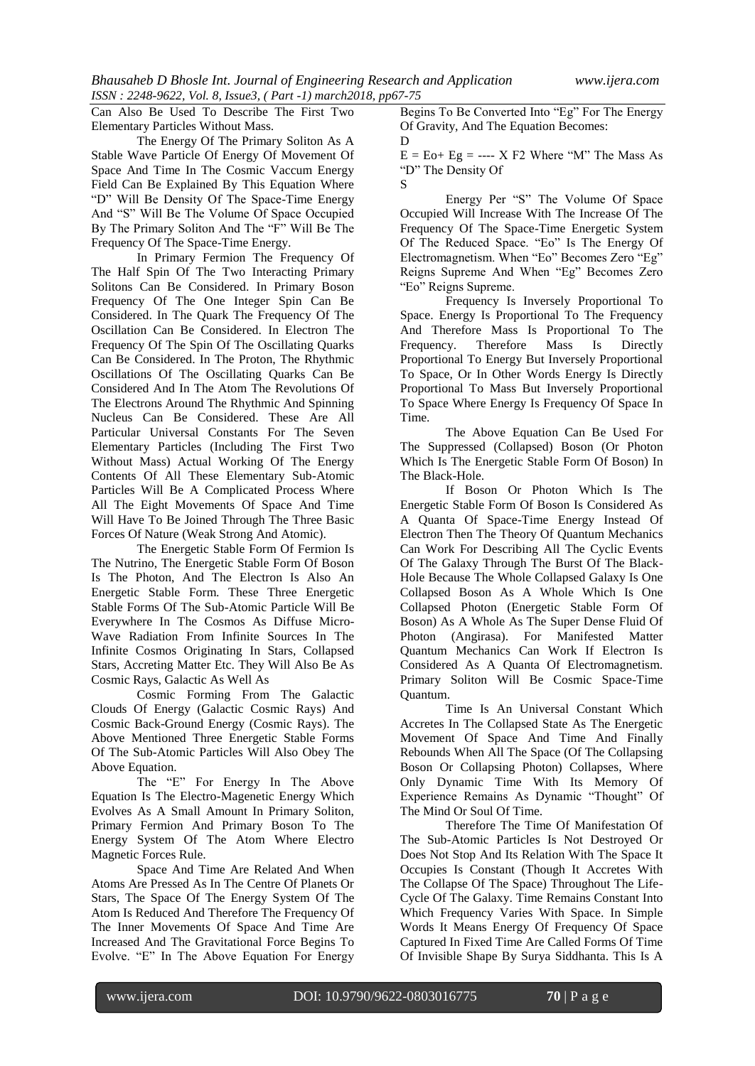Can Also Be Used To Describe The First Two Elementary Particles Without Mass.

The Energy Of The Primary Soliton As A Stable Wave Particle Of Energy Of Movement Of Space And Time In The Cosmic Vaccum Energy Field Can Be Explained By This Equation Where "D" Will Be Density Of The Space-Time Energy And "S" Will Be The Volume Of Space Occupied By The Primary Soliton And The "F" Will Be The Frequency Of The Space-Time Energy.

In Primary Fermion The Frequency Of The Half Spin Of The Two Interacting Primary Solitons Can Be Considered. In Primary Boson Frequency Of The One Integer Spin Can Be Considered. In The Quark The Frequency Of The Oscillation Can Be Considered. In Electron The Frequency Of The Spin Of The Oscillating Quarks Can Be Considered. In The Proton, The Rhythmic Oscillations Of The Oscillating Quarks Can Be Considered And In The Atom The Revolutions Of The Electrons Around The Rhythmic And Spinning Nucleus Can Be Considered. These Are All Particular Universal Constants For The Seven Elementary Particles (Including The First Two Without Mass) Actual Working Of The Energy Contents Of All These Elementary Sub-Atomic Particles Will Be A Complicated Process Where All The Eight Movements Of Space And Time Will Have To Be Joined Through The Three Basic Forces Of Nature (Weak Strong And Atomic).

The Energetic Stable Form Of Fermion Is The Nutrino, The Energetic Stable Form Of Boson Is The Photon, And The Electron Is Also An Energetic Stable Form. These Three Energetic Stable Forms Of The Sub-Atomic Particle Will Be Everywhere In The Cosmos As Diffuse Micro-Wave Radiation From Infinite Sources In The Infinite Cosmos Originating In Stars, Collapsed Stars, Accreting Matter Etc. They Will Also Be As Cosmic Rays, Galactic As Well As

Cosmic Forming From The Galactic Clouds Of Energy (Galactic Cosmic Rays) And Cosmic Back-Ground Energy (Cosmic Rays). The Above Mentioned Three Energetic Stable Forms Of The Sub-Atomic Particles Will Also Obey The Above Equation.

The "E" For Energy In The Above Equation Is The Electro-Magenetic Energy Which Evolves As A Small Amount In Primary Soliton, Primary Fermion And Primary Boson To The Energy System Of The Atom Where Electro Magnetic Forces Rule.

Space And Time Are Related And When Atoms Are Pressed As In The Centre Of Planets Or Stars, The Space Of The Energy System Of The Atom Is Reduced And Therefore The Frequency Of The Inner Movements Of Space And Time Are Increased And The Gravitational Force Begins To Evolve. "E" In The Above Equation For Energy

Begins To Be Converted Into "Eg" For The Energy Of Gravity, And The Equation Becomes: D

 $E = E_0 + E_0 = \dots = X F_2$  Where "M" The Mass As "D" The Density Of

S Energy Per "S" The Volume Of Space Occupied Will Increase With The Increase Of The Frequency Of The Space-Time Energetic System Of The Reduced Space. "Eo" Is The Energy Of Electromagnetism. When "Eo" Becomes Zero "Eg" Reigns Supreme And When "Eg" Becomes Zero "Eo" Reigns Supreme.

Frequency Is Inversely Proportional To Space. Energy Is Proportional To The Frequency And Therefore Mass Is Proportional To The Frequency. Therefore Mass Is Directly Proportional To Energy But Inversely Proportional To Space, Or In Other Words Energy Is Directly Proportional To Mass But Inversely Proportional To Space Where Energy Is Frequency Of Space In Time.

The Above Equation Can Be Used For The Suppressed (Collapsed) Boson (Or Photon Which Is The Energetic Stable Form Of Boson) In The Black-Hole.

If Boson Or Photon Which Is The Energetic Stable Form Of Boson Is Considered As A Quanta Of Space-Time Energy Instead Of Electron Then The Theory Of Quantum Mechanics Can Work For Describing All The Cyclic Events Of The Galaxy Through The Burst Of The Black-Hole Because The Whole Collapsed Galaxy Is One Collapsed Boson As A Whole Which Is One Collapsed Photon (Energetic Stable Form Of Boson) As A Whole As The Super Dense Fluid Of Photon (Angirasa). For Manifested Matter Quantum Mechanics Can Work If Electron Is Considered As A Quanta Of Electromagnetism. Primary Soliton Will Be Cosmic Space-Time Quantum.

Time Is An Universal Constant Which Accretes In The Collapsed State As The Energetic Movement Of Space And Time And Finally Rebounds When All The Space (Of The Collapsing Boson Or Collapsing Photon) Collapses, Where Only Dynamic Time With Its Memory Of Experience Remains As Dynamic "Thought" Of The Mind Or Soul Of Time.

Therefore The Time Of Manifestation Of The Sub-Atomic Particles Is Not Destroyed Or Does Not Stop And Its Relation With The Space It Occupies Is Constant (Though It Accretes With The Collapse Of The Space) Throughout The Life-Cycle Of The Galaxy. Time Remains Constant Into Which Frequency Varies With Space. In Simple Words It Means Energy Of Frequency Of Space Captured In Fixed Time Are Called Forms Of Time Of Invisible Shape By Surya Siddhanta. This Is A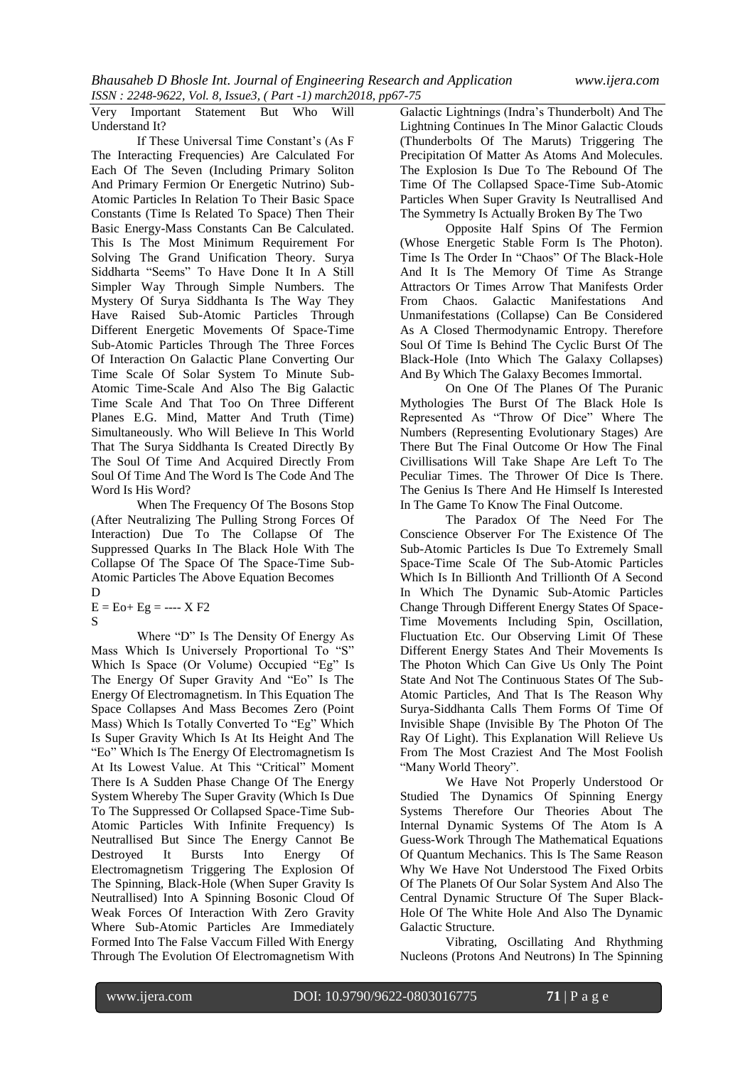Very Important Statement But Who Will Understand It?

If These Universal Time Constant's (As F The Interacting Frequencies) Are Calculated For Each Of The Seven (Including Primary Soliton And Primary Fermion Or Energetic Nutrino) Sub-Atomic Particles In Relation To Their Basic Space Constants (Time Is Related To Space) Then Their Basic Energy-Mass Constants Can Be Calculated. This Is The Most Minimum Requirement For Solving The Grand Unification Theory. Surya Siddharta "Seems" To Have Done It In A Still Simpler Way Through Simple Numbers. The Mystery Of Surya Siddhanta Is The Way They Have Raised Sub-Atomic Particles Through Different Energetic Movements Of Space-Time Sub-Atomic Particles Through The Three Forces Of Interaction On Galactic Plane Converting Our Time Scale Of Solar System To Minute Sub-Atomic Time-Scale And Also The Big Galactic Time Scale And That Too On Three Different Planes E.G. Mind, Matter And Truth (Time) Simultaneously. Who Will Believe In This World That The Surya Siddhanta Is Created Directly By The Soul Of Time And Acquired Directly From Soul Of Time And The Word Is The Code And The Word Is His Word?

When The Frequency Of The Bosons Stop (After Neutralizing The Pulling Strong Forces Of Interaction) Due To The Collapse Of The Suppressed Quarks In The Black Hole With The Collapse Of The Space Of The Space-Time Sub-Atomic Particles The Above Equation Becomes

D

 $E = E_0 + E_2 = - - - X F_2$ S

Where "D" Is The Density Of Energy As Mass Which Is Universely Proportional To "S" Which Is Space (Or Volume) Occupied "Eg" Is The Energy Of Super Gravity And "Eo" Is The Energy Of Electromagnetism. In This Equation The Space Collapses And Mass Becomes Zero (Point Mass) Which Is Totally Converted To "Eg" Which Is Super Gravity Which Is At Its Height And The "Eo" Which Is The Energy Of Electromagnetism Is At Its Lowest Value. At This "Critical" Moment There Is A Sudden Phase Change Of The Energy System Whereby The Super Gravity (Which Is Due To The Suppressed Or Collapsed Space-Time Sub-Atomic Particles With Infinite Frequency) Is Neutrallised But Since The Energy Cannot Be Destroyed It Bursts Into Energy Of Electromagnetism Triggering The Explosion Of The Spinning, Black-Hole (When Super Gravity Is Neutrallised) Into A Spinning Bosonic Cloud Of Weak Forces Of Interaction With Zero Gravity Where Sub-Atomic Particles Are Immediately Formed Into The False Vaccum Filled With Energy Through The Evolution Of Electromagnetism With

Galactic Lightnings (Indra's Thunderbolt) And The Lightning Continues In The Minor Galactic Clouds (Thunderbolts Of The Maruts) Triggering The Precipitation Of Matter As Atoms And Molecules. The Explosion Is Due To The Rebound Of The Time Of The Collapsed Space-Time Sub-Atomic Particles When Super Gravity Is Neutrallised And The Symmetry Is Actually Broken By The Two

Opposite Half Spins Of The Fermion (Whose Energetic Stable Form Is The Photon). Time Is The Order In "Chaos" Of The Black-Hole And It Is The Memory Of Time As Strange Attractors Or Times Arrow That Manifests Order From Chaos. Galactic Manifestations And Unmanifestations (Collapse) Can Be Considered As A Closed Thermodynamic Entropy. Therefore Soul Of Time Is Behind The Cyclic Burst Of The Black-Hole (Into Which The Galaxy Collapses) And By Which The Galaxy Becomes Immortal.

On One Of The Planes Of The Puranic Mythologies The Burst Of The Black Hole Is Represented As "Throw Of Dice" Where The Numbers (Representing Evolutionary Stages) Are There But The Final Outcome Or How The Final Civillisations Will Take Shape Are Left To The Peculiar Times. The Thrower Of Dice Is There. The Genius Is There And He Himself Is Interested In The Game To Know The Final Outcome.

The Paradox Of The Need For The Conscience Observer For The Existence Of The Sub-Atomic Particles Is Due To Extremely Small Space-Time Scale Of The Sub-Atomic Particles Which Is In Billionth And Trillionth Of A Second In Which The Dynamic Sub-Atomic Particles Change Through Different Energy States Of Space-Time Movements Including Spin, Oscillation, Fluctuation Etc. Our Observing Limit Of These Different Energy States And Their Movements Is The Photon Which Can Give Us Only The Point State And Not The Continuous States Of The Sub-Atomic Particles, And That Is The Reason Why Surya-Siddhanta Calls Them Forms Of Time Of Invisible Shape (Invisible By The Photon Of The Ray Of Light). This Explanation Will Relieve Us From The Most Craziest And The Most Foolish "Many World Theory".

We Have Not Properly Understood Or Studied The Dynamics Of Spinning Energy Systems Therefore Our Theories About The Internal Dynamic Systems Of The Atom Is A Guess-Work Through The Mathematical Equations Of Quantum Mechanics. This Is The Same Reason Why We Have Not Understood The Fixed Orbits Of The Planets Of Our Solar System And Also The Central Dynamic Structure Of The Super Black-Hole Of The White Hole And Also The Dynamic Galactic Structure.

Vibrating, Oscillating And Rhythming Nucleons (Protons And Neutrons) In The Spinning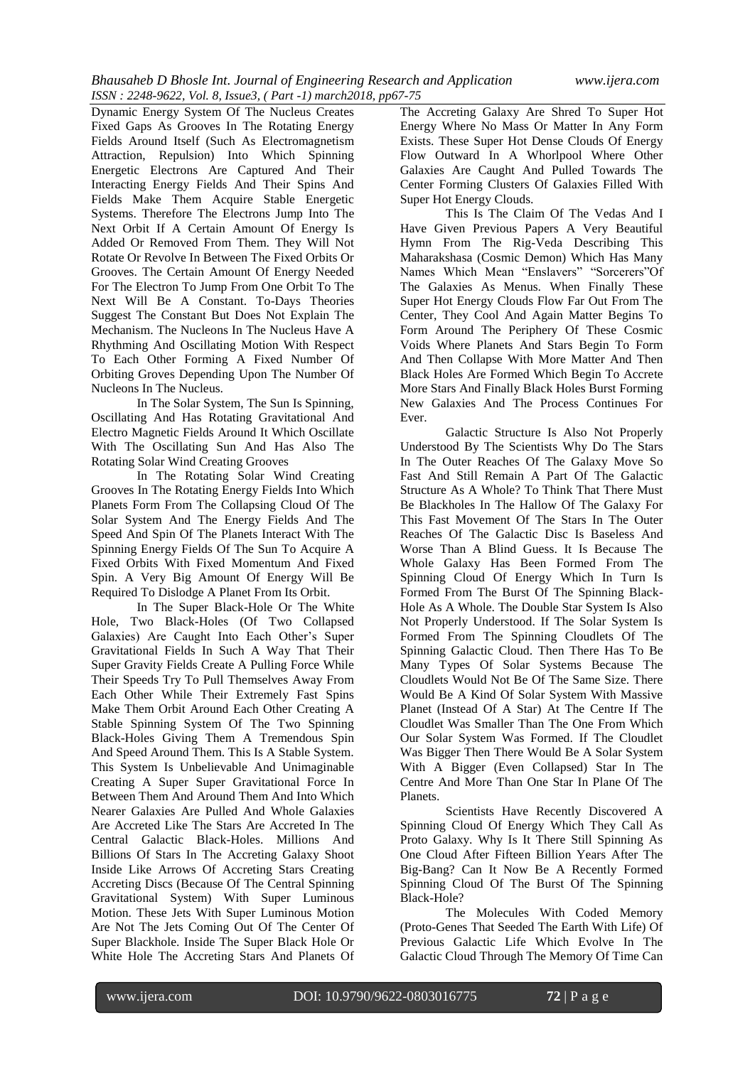Dynamic Energy System Of The Nucleus Creates Fixed Gaps As Grooves In The Rotating Energy Fields Around Itself (Such As Electromagnetism Attraction, Repulsion) Into Which Spinning Energetic Electrons Are Captured And Their Interacting Energy Fields And Their Spins And Fields Make Them Acquire Stable Energetic Systems. Therefore The Electrons Jump Into The Next Orbit If A Certain Amount Of Energy Is Added Or Removed From Them. They Will Not Rotate Or Revolve In Between The Fixed Orbits Or Grooves. The Certain Amount Of Energy Needed For The Electron To Jump From One Orbit To The Next Will Be A Constant. To-Days Theories Suggest The Constant But Does Not Explain The Mechanism. The Nucleons In The Nucleus Have A Rhythming And Oscillating Motion With Respect To Each Other Forming A Fixed Number Of Orbiting Groves Depending Upon The Number Of Nucleons In The Nucleus.

In The Solar System, The Sun Is Spinning, Oscillating And Has Rotating Gravitational And Electro Magnetic Fields Around It Which Oscillate With The Oscillating Sun And Has Also The Rotating Solar Wind Creating Grooves

In The Rotating Solar Wind Creating Grooves In The Rotating Energy Fields Into Which Planets Form From The Collapsing Cloud Of The Solar System And The Energy Fields And The Speed And Spin Of The Planets Interact With The Spinning Energy Fields Of The Sun To Acquire A Fixed Orbits With Fixed Momentum And Fixed Spin. A Very Big Amount Of Energy Will Be Required To Dislodge A Planet From Its Orbit.

In The Super Black-Hole Or The White Hole, Two Black-Holes (Of Two Collapsed Galaxies) Are Caught Into Each Other's Super Gravitational Fields In Such A Way That Their Super Gravity Fields Create A Pulling Force While Their Speeds Try To Pull Themselves Away From Each Other While Their Extremely Fast Spins Make Them Orbit Around Each Other Creating A Stable Spinning System Of The Two Spinning Black-Holes Giving Them A Tremendous Spin And Speed Around Them. This Is A Stable System. This System Is Unbelievable And Unimaginable Creating A Super Super Gravitational Force In Between Them And Around Them And Into Which Nearer Galaxies Are Pulled And Whole Galaxies Are Accreted Like The Stars Are Accreted In The Central Galactic Black-Holes. Millions And Billions Of Stars In The Accreting Galaxy Shoot Inside Like Arrows Of Accreting Stars Creating Accreting Discs (Because Of The Central Spinning Gravitational System) With Super Luminous Motion. These Jets With Super Luminous Motion Are Not The Jets Coming Out Of The Center Of Super Blackhole. Inside The Super Black Hole Or White Hole The Accreting Stars And Planets Of The Accreting Galaxy Are Shred To Super Hot Energy Where No Mass Or Matter In Any Form Exists. These Super Hot Dense Clouds Of Energy Flow Outward In A Whorlpool Where Other Galaxies Are Caught And Pulled Towards The Center Forming Clusters Of Galaxies Filled With Super Hot Energy Clouds.

This Is The Claim Of The Vedas And I Have Given Previous Papers A Very Beautiful Hymn From The Rig-Veda Describing This Maharakshasa (Cosmic Demon) Which Has Many Names Which Mean "Enslavers" "Sorcerers"Of The Galaxies As Menus. When Finally These Super Hot Energy Clouds Flow Far Out From The Center, They Cool And Again Matter Begins To Form Around The Periphery Of These Cosmic Voids Where Planets And Stars Begin To Form And Then Collapse With More Matter And Then Black Holes Are Formed Which Begin To Accrete More Stars And Finally Black Holes Burst Forming New Galaxies And The Process Continues For Ever.

Galactic Structure Is Also Not Properly Understood By The Scientists Why Do The Stars In The Outer Reaches Of The Galaxy Move So Fast And Still Remain A Part Of The Galactic Structure As A Whole? To Think That There Must Be Blackholes In The Hallow Of The Galaxy For This Fast Movement Of The Stars In The Outer Reaches Of The Galactic Disc Is Baseless And Worse Than A Blind Guess. It Is Because The Whole Galaxy Has Been Formed From The Spinning Cloud Of Energy Which In Turn Is Formed From The Burst Of The Spinning Black-Hole As A Whole. The Double Star System Is Also Not Properly Understood. If The Solar System Is Formed From The Spinning Cloudlets Of The Spinning Galactic Cloud. Then There Has To Be Many Types Of Solar Systems Because The Cloudlets Would Not Be Of The Same Size. There Would Be A Kind Of Solar System With Massive Planet (Instead Of A Star) At The Centre If The Cloudlet Was Smaller Than The One From Which Our Solar System Was Formed. If The Cloudlet Was Bigger Then There Would Be A Solar System With A Bigger (Even Collapsed) Star In The Centre And More Than One Star In Plane Of The Planets.

Scientists Have Recently Discovered A Spinning Cloud Of Energy Which They Call As Proto Galaxy. Why Is It There Still Spinning As One Cloud After Fifteen Billion Years After The Big-Bang? Can It Now Be A Recently Formed Spinning Cloud Of The Burst Of The Spinning Black-Hole?

The Molecules With Coded Memory (Proto-Genes That Seeded The Earth With Life) Of Previous Galactic Life Which Evolve In The Galactic Cloud Through The Memory Of Time Can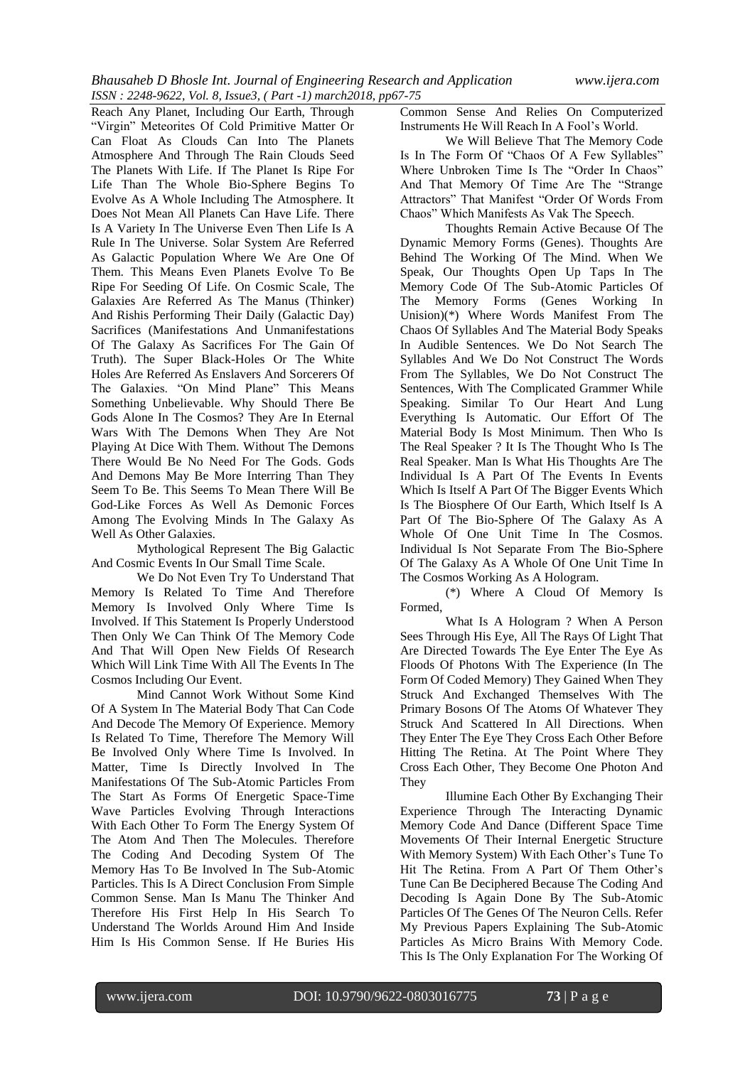Reach Any Planet, Including Our Earth, Through "Virgin" Meteorites Of Cold Primitive Matter Or Can Float As Clouds Can Into The Planets Atmosphere And Through The Rain Clouds Seed The Planets With Life. If The Planet Is Ripe For Life Than The Whole Bio-Sphere Begins To Evolve As A Whole Including The Atmosphere. It Does Not Mean All Planets Can Have Life. There Is A Variety In The Universe Even Then Life Is A Rule In The Universe. Solar System Are Referred As Galactic Population Where We Are One Of Them. This Means Even Planets Evolve To Be Ripe For Seeding Of Life. On Cosmic Scale, The Galaxies Are Referred As The Manus (Thinker) And Rishis Performing Their Daily (Galactic Day) Sacrifices (Manifestations And Unmanifestations Of The Galaxy As Sacrifices For The Gain Of Truth). The Super Black-Holes Or The White Holes Are Referred As Enslavers And Sorcerers Of The Galaxies. "On Mind Plane" This Means Something Unbelievable. Why Should There Be Gods Alone In The Cosmos? They Are In Eternal Wars With The Demons When They Are Not Playing At Dice With Them. Without The Demons There Would Be No Need For The Gods. Gods And Demons May Be More Interring Than They Seem To Be. This Seems To Mean There Will Be God-Like Forces As Well As Demonic Forces Among The Evolving Minds In The Galaxy As Well As Other Galaxies.

Mythological Represent The Big Galactic And Cosmic Events In Our Small Time Scale.

We Do Not Even Try To Understand That Memory Is Related To Time And Therefore Memory Is Involved Only Where Time Is Involved. If This Statement Is Properly Understood Then Only We Can Think Of The Memory Code And That Will Open New Fields Of Research Which Will Link Time With All The Events In The Cosmos Including Our Event.

Mind Cannot Work Without Some Kind Of A System In The Material Body That Can Code And Decode The Memory Of Experience. Memory Is Related To Time, Therefore The Memory Will Be Involved Only Where Time Is Involved. In Matter, Time Is Directly Involved In The Manifestations Of The Sub-Atomic Particles From The Start As Forms Of Energetic Space-Time Wave Particles Evolving Through Interactions With Each Other To Form The Energy System Of The Atom And Then The Molecules. Therefore The Coding And Decoding System Of The Memory Has To Be Involved In The Sub-Atomic Particles. This Is A Direct Conclusion From Simple Common Sense. Man Is Manu The Thinker And Therefore His First Help In His Search To Understand The Worlds Around Him And Inside Him Is His Common Sense. If He Buries His

Common Sense And Relies On Computerized Instruments He Will Reach In A Fool's World.

We Will Believe That The Memory Code Is In The Form Of "Chaos Of A Few Syllables" Where Unbroken Time Is The "Order In Chaos" And That Memory Of Time Are The "Strange Attractors" That Manifest "Order Of Words From Chaos" Which Manifests As Vak The Speech.

Thoughts Remain Active Because Of The Dynamic Memory Forms (Genes). Thoughts Are Behind The Working Of The Mind. When We Speak, Our Thoughts Open Up Taps In The Memory Code Of The Sub-Atomic Particles Of The Memory Forms (Genes Working In Unision)(\*) Where Words Manifest From The Chaos Of Syllables And The Material Body Speaks In Audible Sentences. We Do Not Search The Syllables And We Do Not Construct The Words From The Syllables, We Do Not Construct The Sentences, With The Complicated Grammer While Speaking. Similar To Our Heart And Lung Everything Is Automatic. Our Effort Of The Material Body Is Most Minimum. Then Who Is The Real Speaker ? It Is The Thought Who Is The Real Speaker. Man Is What His Thoughts Are The Individual Is A Part Of The Events In Events Which Is Itself A Part Of The Bigger Events Which Is The Biosphere Of Our Earth, Which Itself Is A Part Of The Bio-Sphere Of The Galaxy As A Whole Of One Unit Time In The Cosmos. Individual Is Not Separate From The Bio-Sphere Of The Galaxy As A Whole Of One Unit Time In The Cosmos Working As A Hologram.

(\*) Where A Cloud Of Memory Is Formed,

What Is A Hologram ? When A Person Sees Through His Eye, All The Rays Of Light That Are Directed Towards The Eye Enter The Eye As Floods Of Photons With The Experience (In The Form Of Coded Memory) They Gained When They Struck And Exchanged Themselves With The Primary Bosons Of The Atoms Of Whatever They Struck And Scattered In All Directions. When They Enter The Eye They Cross Each Other Before Hitting The Retina. At The Point Where They Cross Each Other, They Become One Photon And They

Illumine Each Other By Exchanging Their Experience Through The Interacting Dynamic Memory Code And Dance (Different Space Time Movements Of Their Internal Energetic Structure With Memory System) With Each Other's Tune To Hit The Retina. From A Part Of Them Other's Tune Can Be Deciphered Because The Coding And Decoding Is Again Done By The Sub-Atomic Particles Of The Genes Of The Neuron Cells. Refer My Previous Papers Explaining The Sub-Atomic Particles As Micro Brains With Memory Code. This Is The Only Explanation For The Working Of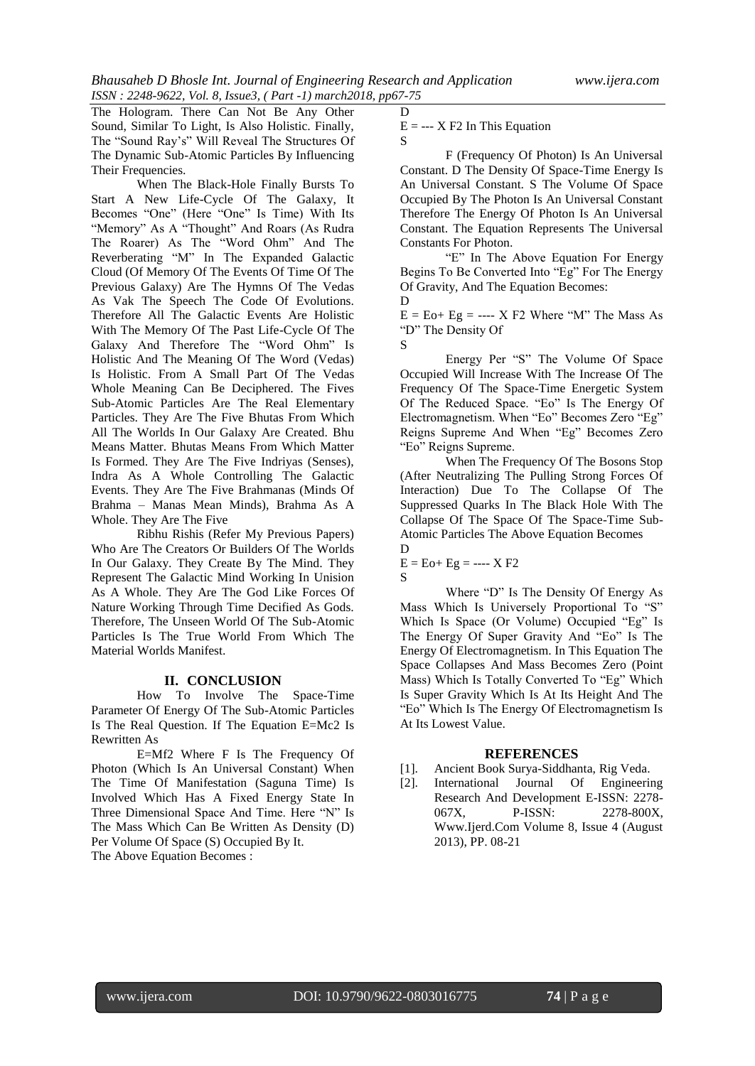The Hologram. There Can Not Be Any Other Sound, Similar To Light, Is Also Holistic. Finally, The "Sound Ray's" Will Reveal The Structures Of The Dynamic Sub-Atomic Particles By Influencing Their Frequencies.

When The Black-Hole Finally Bursts To Start A New Life-Cycle Of The Galaxy, It Becomes "One" (Here "One" Is Time) With Its "Memory" As A "Thought" And Roars (As Rudra The Roarer) As The "Word Ohm" And The Reverberating "M" In The Expanded Galactic Cloud (Of Memory Of The Events Of Time Of The Previous Galaxy) Are The Hymns Of The Vedas As Vak The Speech The Code Of Evolutions. Therefore All The Galactic Events Are Holistic With The Memory Of The Past Life-Cycle Of The Galaxy And Therefore The "Word Ohm" Is Holistic And The Meaning Of The Word (Vedas) Is Holistic. From A Small Part Of The Vedas Whole Meaning Can Be Deciphered. The Fives Sub-Atomic Particles Are The Real Elementary Particles. They Are The Five Bhutas From Which All The Worlds In Our Galaxy Are Created. Bhu Means Matter. Bhutas Means From Which Matter Is Formed. They Are The Five Indriyas (Senses), Indra As A Whole Controlling The Galactic Events. They Are The Five Brahmanas (Minds Of Brahma – Manas Mean Minds), Brahma As A Whole. They Are The Five

Ribhu Rishis (Refer My Previous Papers) Who Are The Creators Or Builders Of The Worlds In Our Galaxy. They Create By The Mind. They Represent The Galactic Mind Working In Unision As A Whole. They Are The God Like Forces Of Nature Working Through Time Decified As Gods. Therefore, The Unseen World Of The Sub-Atomic Particles Is The True World From Which The Material Worlds Manifest.

## **II. CONCLUSION**

How To Involve The Space-Time Parameter Of Energy Of The Sub-Atomic Particles Is The Real Question. If The Equation E=Mc2 Is Rewritten As

E=Mf2 Where F Is The Frequency Of Photon (Which Is An Universal Constant) When The Time Of Manifestation (Saguna Time) Is Involved Which Has A Fixed Energy State In Three Dimensional Space And Time. Here "N" Is The Mass Which Can Be Written As Density (D) Per Volume Of Space (S) Occupied By It. The Above Equation Becomes :

 $E = -X F2$  In This Equation

S

D

F (Frequency Of Photon) Is An Universal Constant. D The Density Of Space-Time Energy Is An Universal Constant. S The Volume Of Space Occupied By The Photon Is An Universal Constant Therefore The Energy Of Photon Is An Universal Constant. The Equation Represents The Universal Constants For Photon.

"E" In The Above Equation For Energy Begins To Be Converted Into "Eg" For The Energy Of Gravity, And The Equation Becomes: D

 $E = E_0 + E_2 = - - - X F_2$  Where "M" The Mass As "D" The Density Of

Energy Per "S" The Volume Of Space Occupied Will Increase With The Increase Of The Frequency Of The Space-Time Energetic System Of The Reduced Space. "Eo" Is The Energy Of Electromagnetism. When "Eo" Becomes Zero "Eg" Reigns Supreme And When "Eg" Becomes Zero "Eo" Reigns Supreme.

When The Frequency Of The Bosons Stop (After Neutralizing The Pulling Strong Forces Of Interaction) Due To The Collapse Of The Suppressed Quarks In The Black Hole With The Collapse Of The Space Of The Space-Time Sub-Atomic Particles The Above Equation Becomes D

 $E = E_0 + E_0 = - - - X F_2$ S

Where "D" Is The Density Of Energy As Mass Which Is Universely Proportional To "S" Which Is Space (Or Volume) Occupied "Eg" Is The Energy Of Super Gravity And "Eo" Is The Energy Of Electromagnetism. In This Equation The Space Collapses And Mass Becomes Zero (Point Mass) Which Is Totally Converted To "Eg" Which Is Super Gravity Which Is At Its Height And The "Eo" Which Is The Energy Of Electromagnetism Is At Its Lowest Value.

## **REFERENCES**

- [1]. Ancient Book Surya-Siddhanta, Rig Veda.
- [2]. International Journal Of Engineering Research And Development E-ISSN: 2278- 067X, P-ISSN: 2278-800X, Www.Ijerd.Com Volume 8, Issue 4 (August 2013), PP. 08-21

S